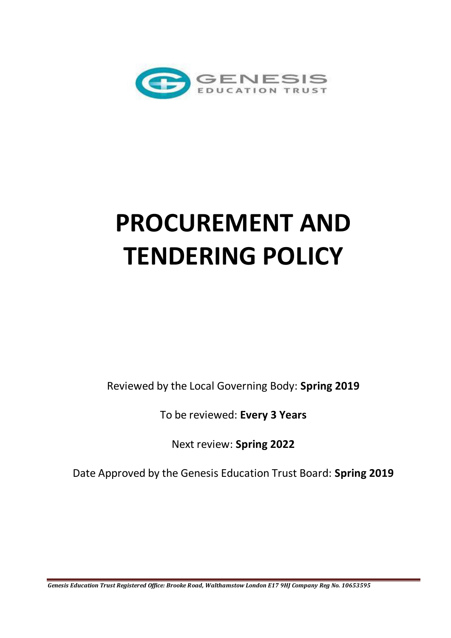

# **PROCUREMENT AND TENDERING POLICY**

Reviewed by the Local Governing Body: **Spring 2019** 

To be reviewed: **Every 3 Years** 

Next review: **Spring 2022** 

Date Approved by the Genesis Education Trust Board: **Spring 2019**

*Genesis Education Trust Registered Office: Brooke Road, Walthamstow London E17 9HJ Company Reg No. 10653595*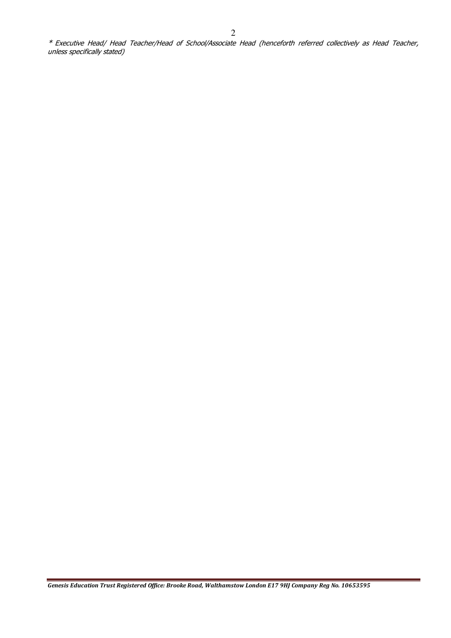\* Executive Head/ Head Teacher/Head of School/Associate Head (henceforth referred collectively as Head Teacher, unless specifically stated)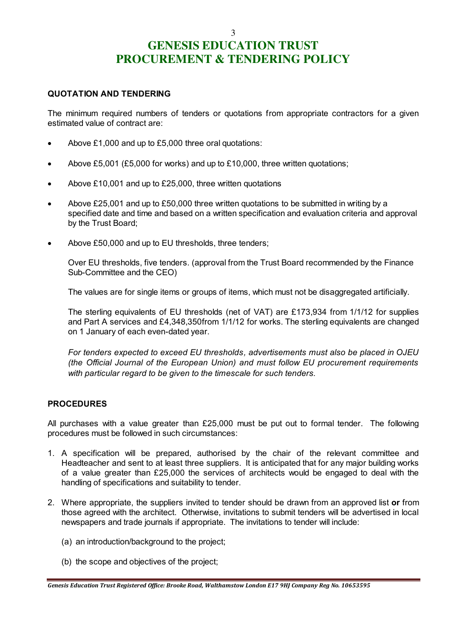## **GENESIS EDUCATION TRUST PROCUREMENT & TENDERING POLICY**

3

#### **QUOTATION AND TENDERING**

The minimum required numbers of tenders or quotations from appropriate contractors for a given estimated value of contract are:

- Above £1,000 and up to £5,000 three oral quotations:
- Above £5,001 (£5,000 for works) and up to £10,000, three written quotations;
- Above £10,001 and up to £25,000, three written quotations
- Above £25,001 and up to £50,000 three written quotations to be submitted in writing by a specified date and time and based on a written specification and evaluation criteria and approval by the Trust Board;
- Above £50,000 and up to EU thresholds, three tenders;

Over EU thresholds, five tenders. (approval from the Trust Board recommended by the Finance Sub-Committee and the CEO)

The values are for single items or groups of items, which must not be disaggregated artificially.

The sterling equivalents of EU thresholds (net of VAT) are £173,934 from 1/1/12 for supplies and Part A services and £4,348,350from 1/1/12 for works. The sterling equivalents are changed on 1 January of each even-dated year.

*For tenders expected to exceed EU thresholds, advertisements must also be placed in OJEU (the Official Journal of the European Union) and must follow EU procurement requirements with particular regard to be given to the timescale for such tenders.* 

### **PROCEDURES**

All purchases with a value greater than £25,000 must be put out to formal tender. The following procedures must be followed in such circumstances:

- 1. A specification will be prepared, authorised by the chair of the relevant committee and Headteacher and sent to at least three suppliers. It is anticipated that for any major building works of a value greater than £25,000 the services of architects would be engaged to deal with the handling of specifications and suitability to tender.
- 2. Where appropriate, the suppliers invited to tender should be drawn from an approved list **or** from those agreed with the architect. Otherwise, invitations to submit tenders will be advertised in local newspapers and trade journals if appropriate. The invitations to tender will include:
	- (a) an introduction/background to the project;
	- (b) the scope and objectives of the project;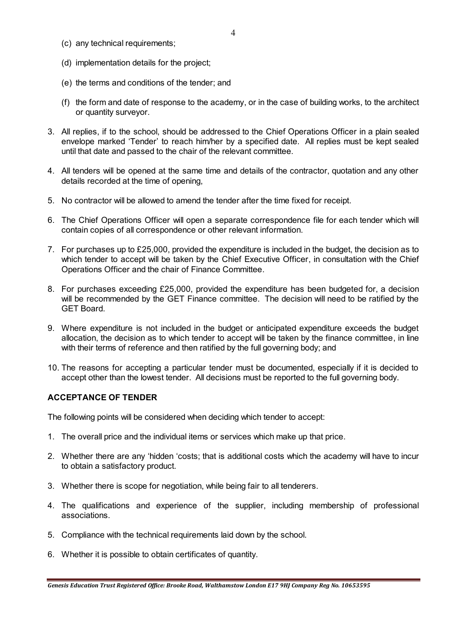- (c) any technical requirements;
- (d) implementation details for the project;
- (e) the terms and conditions of the tender; and
- (f) the form and date of response to the academy, or in the case of building works, to the architect or quantity surveyor.
- 3. All replies, if to the school, should be addressed to the Chief Operations Officer in a plain sealed envelope marked 'Tender' to reach him/her by a specified date. All replies must be kept sealed until that date and passed to the chair of the relevant committee.
- 4. All tenders will be opened at the same time and details of the contractor, quotation and any other details recorded at the time of opening,
- 5. No contractor will be allowed to amend the tender after the time fixed for receipt.
- 6. The Chief Operations Officer will open a separate correspondence file for each tender which will contain copies of all correspondence or other relevant information.
- 7. For purchases up to £25,000, provided the expenditure is included in the budget, the decision as to which tender to accept will be taken by the Chief Executive Officer, in consultation with the Chief Operations Officer and the chair of Finance Committee.
- 8. For purchases exceeding £25,000, provided the expenditure has been budgeted for, a decision will be recommended by the GET Finance committee. The decision will need to be ratified by the GET Board.
- 9. Where expenditure is not included in the budget or anticipated expenditure exceeds the budget allocation, the decision as to which tender to accept will be taken by the finance committee, in line with their terms of reference and then ratified by the full governing body; and
- 10. The reasons for accepting a particular tender must be documented, especially if it is decided to accept other than the lowest tender. All decisions must be reported to the full governing body.

#### **ACCEPTANCE OF TENDER**

The following points will be considered when deciding which tender to accept:

- 1. The overall price and the individual items or services which make up that price.
- 2. Whether there are any 'hidden 'costs; that is additional costs which the academy will have to incur to obtain a satisfactory product.
- 3. Whether there is scope for negotiation, while being fair to all tenderers.
- 4. The qualifications and experience of the supplier, including membership of professional associations.
- 5. Compliance with the technical requirements laid down by the school.
- 6. Whether it is possible to obtain certificates of quantity.